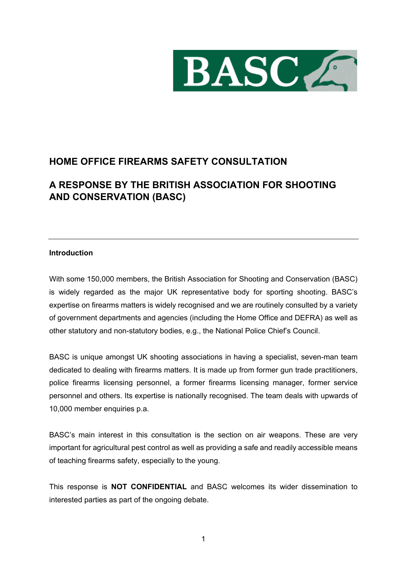

# **HOME OFFICE FIREARMS SAFETY CONSULTATION**

# **A RESPONSE BY THE BRITISH ASSOCIATION FOR SHOOTING AND CONSERVATION (BASC)**

## **Introduction**

With some 150,000 members, the British Association for Shooting and Conservation (BASC) is widely regarded as the major UK representative body for sporting shooting. BASC's expertise on firearms matters is widely recognised and we are routinely consulted by a variety of government departments and agencies (including the Home Office and DEFRA) as well as other statutory and non-statutory bodies, e.g., the National Police Chief's Council.

BASC is unique amongst UK shooting associations in having a specialist, seven-man team dedicated to dealing with firearms matters. It is made up from former gun trade practitioners, police firearms licensing personnel, a former firearms licensing manager, former service personnel and others. Its expertise is nationally recognised. The team deals with upwards of 10,000 member enquiries p.a.

BASC's main interest in this consultation is the section on air weapons. These are very important for agricultural pest control as well as providing a safe and readily accessible means of teaching firearms safety, especially to the young.

This response is **NOT CONFIDENTIAL** and BASC welcomes its wider dissemination to interested parties as part of the ongoing debate.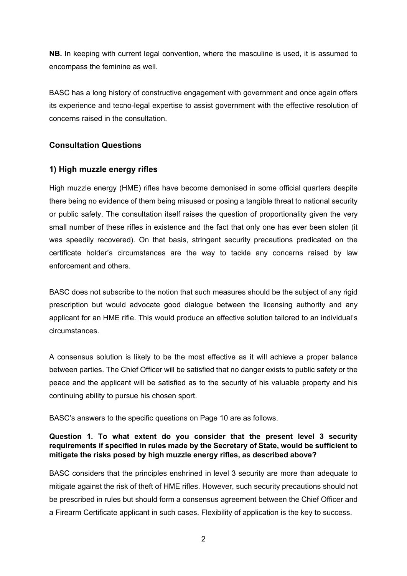**NB.** In keeping with current legal convention, where the masculine is used, it is assumed to encompass the feminine as well.

BASC has a long history of constructive engagement with government and once again offers its experience and tecno-legal expertise to assist government with the effective resolution of concerns raised in the consultation.

## **Consultation Questions**

## **1) High muzzle energy rifles**

High muzzle energy (HME) rifles have become demonised in some official quarters despite there being no evidence of them being misused or posing a tangible threat to national security or public safety. The consultation itself raises the question of proportionality given the very small number of these rifles in existence and the fact that only one has ever been stolen (it was speedily recovered). On that basis, stringent security precautions predicated on the certificate holder's circumstances are the way to tackle any concerns raised by law enforcement and others.

BASC does not subscribe to the notion that such measures should be the subject of any rigid prescription but would advocate good dialogue between the licensing authority and any applicant for an HME rifle. This would produce an effective solution tailored to an individual's circumstances.

A consensus solution is likely to be the most effective as it will achieve a proper balance between parties. The Chief Officer will be satisfied that no danger exists to public safety or the peace and the applicant will be satisfied as to the security of his valuable property and his continuing ability to pursue his chosen sport.

BASC's answers to the specific questions on Page 10 are as follows.

## **Question 1. To what extent do you consider that the present level 3 security requirements if specified in rules made by the Secretary of State, would be sufficient to mitigate the risks posed by high muzzle energy rifles, as described above?**

BASC considers that the principles enshrined in level 3 security are more than adequate to mitigate against the risk of theft of HME rifles. However, such security precautions should not be prescribed in rules but should form a consensus agreement between the Chief Officer and a Firearm Certificate applicant in such cases. Flexibility of application is the key to success.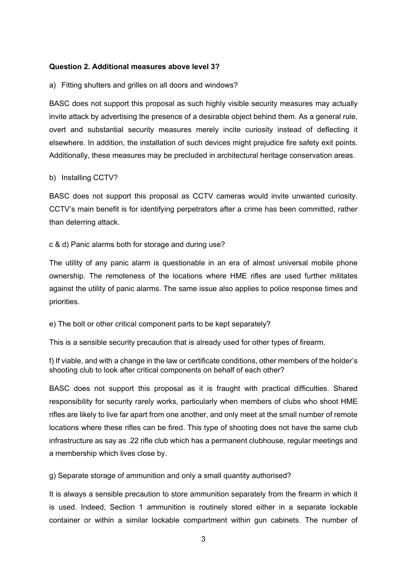#### **Question 2. Additional measures above level 3?**

#### a) Fitting shutters and grilles on all doors and windows?

BASC does not support this proposal as such highly visible security measures may actually invite attack by advertising the presence of a desirable object behind them. As a general rule, overt and substantial security measures merely incite curiosity instead of deflecting it elsewhere. In addition, the installation of such devices might prejudice fire safety exit points. Additionally, these measures may be precluded in architectural heritage conservation areas.

#### b) Installing CCTV?

BASC does not support this proposal as CCTV cameras would invite unwanted curiosity. CCTV's main benefit is for identifying perpetrators after a crime has been committed, rather than deterring attack.

#### c & d) Panic alarms both for storage and during use?

The utility of any panic alarm is questionable in an era of almost universal mobile phone ownership. The remoteness of the locations where HME rifles are used further militates against the utility of panic alarms. The same issue also applies to police response times and priorities.

### e) The bolt or other critical component parts to be kept separately?

This is a sensible security precaution that is already used for other types of firearm.

f) If viable, and with a change in the law or certificate conditions, other members of the holder's shooting club to look after critical components on behalf of each other?

BASC does not support this proposal as it is fraught with practical difficulties. Shared responsibility for security rarely works, particularly when members of clubs who shoot HME rifles are likely to live far apart from one another, and only meet at the small number of remote locations where these rifles can be fired. This type of shooting does not have the same club infrastructure as say as .22 rifle club which has a permanent clubhouse, regular meetings and a membership which lives close by.

g) Separate storage of ammunition and only a small quantity authorised?

It is always a sensible precaution to store ammunition separately from the firearm in which it is used. Indeed, Section 1 ammunition is routinely stored either in a separate lockable container or within a similar lockable compartment within gun cabinets. The number of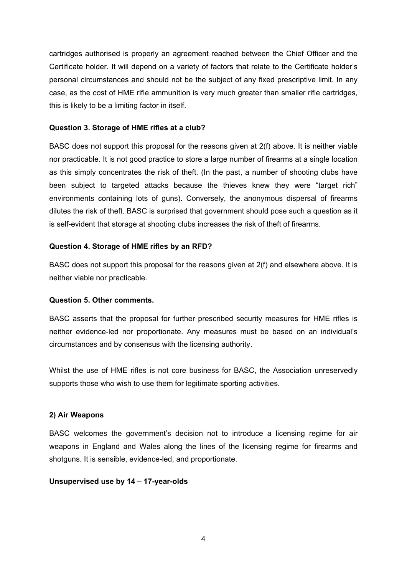cartridges authorised is properly an agreement reached between the Chief Officer and the Certificate holder. It will depend on a variety of factors that relate to the Certificate holder's personal circumstances and should not be the subject of any fixed prescriptive limit. In any case, as the cost of HME rifle ammunition is very much greater than smaller rifle cartridges, this is likely to be a limiting factor in itself.

### **Question 3. Storage of HME rifles at a club?**

BASC does not support this proposal for the reasons given at 2(f) above. It is neither viable nor practicable. It is not good practice to store a large number of firearms at a single location as this simply concentrates the risk of theft. (In the past, a number of shooting clubs have been subject to targeted attacks because the thieves knew they were "target rich" environments containing lots of guns). Conversely, the anonymous dispersal of firearms dilutes the risk of theft. BASC is surprised that government should pose such a question as it is self-evident that storage at shooting clubs increases the risk of theft of firearms.

#### **Question 4. Storage of HME rifles by an RFD?**

BASC does not support this proposal for the reasons given at 2(f) and elsewhere above. It is neither viable nor practicable.

#### **Question 5. Other comments.**

BASC asserts that the proposal for further prescribed security measures for HME rifles is neither evidence-led nor proportionate. Any measures must be based on an individual's circumstances and by consensus with the licensing authority.

Whilst the use of HME rifles is not core business for BASC, the Association unreservedly supports those who wish to use them for legitimate sporting activities.

#### **2) Air Weapons**

BASC welcomes the government's decision not to introduce a licensing regime for air weapons in England and Wales along the lines of the licensing regime for firearms and shotguns. It is sensible, evidence-led, and proportionate.

#### **Unsupervised use by 14 – 17-year-olds**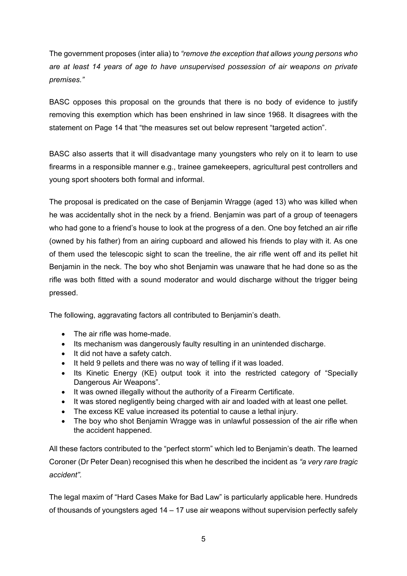The government proposes (inter alia) to *"remove the exception that allows young persons who are at least 14 years of age to have unsupervised possession of air weapons on private premises."*

BASC opposes this proposal on the grounds that there is no body of evidence to justify removing this exemption which has been enshrined in law since 1968. It disagrees with the statement on Page 14 that "the measures set out below represent "targeted action".

BASC also asserts that it will disadvantage many youngsters who rely on it to learn to use firearms in a responsible manner e.g., trainee gamekeepers, agricultural pest controllers and young sport shooters both formal and informal.

The proposal is predicated on the case of Benjamin Wragge (aged 13) who was killed when he was accidentally shot in the neck by a friend. Benjamin was part of a group of teenagers who had gone to a friend's house to look at the progress of a den. One boy fetched an air rifle (owned by his father) from an airing cupboard and allowed his friends to play with it. As one of them used the telescopic sight to scan the treeline, the air rifle went off and its pellet hit Benjamin in the neck. The boy who shot Benjamin was unaware that he had done so as the rifle was both fitted with a sound moderator and would discharge without the trigger being pressed.

The following, aggravating factors all contributed to Benjamin's death.

- The air rifle was home-made.
- Its mechanism was dangerously faulty resulting in an unintended discharge.
- It did not have a safety catch.
- It held 9 pellets and there was no way of telling if it was loaded.
- Its Kinetic Energy (KE) output took it into the restricted category of "Specially Dangerous Air Weapons".
- It was owned illegally without the authority of a Firearm Certificate.
- It was stored negligently being charged with air and loaded with at least one pellet.
- The excess KE value increased its potential to cause a lethal injury.
- The boy who shot Benjamin Wragge was in unlawful possession of the air rifle when the accident happened.

All these factors contributed to the "perfect storm" which led to Benjamin's death. The learned Coroner (Dr Peter Dean) recognised this when he described the incident as *"a very rare tragic accident".* 

The legal maxim of "Hard Cases Make for Bad Law" is particularly applicable here. Hundreds of thousands of youngsters aged 14 – 17 use air weapons without supervision perfectly safely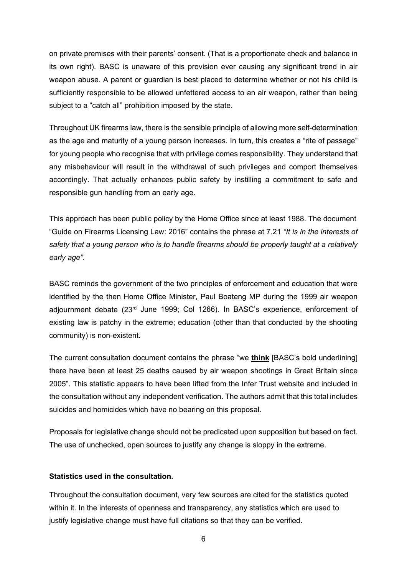on private premises with their parents' consent. (That is a proportionate check and balance in its own right). BASC is unaware of this provision ever causing any significant trend in air weapon abuse. A parent or guardian is best placed to determine whether or not his child is sufficiently responsible to be allowed unfettered access to an air weapon, rather than being subject to a "catch all" prohibition imposed by the state.

Throughout UK firearms law, there is the sensible principle of allowing more self-determination as the age and maturity of a young person increases. In turn, this creates a "rite of passage" for young people who recognise that with privilege comes responsibility. They understand that any misbehaviour will result in the withdrawal of such privileges and comport themselves accordingly. That actually enhances public safety by instilling a commitment to safe and responsible gun handling from an early age.

This approach has been public policy by the Home Office since at least 1988. The document "Guide on Firearms Licensing Law: 2016" contains the phrase at 7.21 *"It is in the interests of safety that a young person who is to handle firearms should be properly taught at a relatively early age".* 

BASC reminds the government of the two principles of enforcement and education that were identified by the then Home Office Minister, Paul Boateng MP during the 1999 air weapon adjournment debate (23rd June 1999; Col 1266). In BASC's experience, enforcement of existing law is patchy in the extreme; education (other than that conducted by the shooting community) is non-existent.

The current consultation document contains the phrase "we **think** [BASC's bold underlining] there have been at least 25 deaths caused by air weapon shootings in Great Britain since 2005". This statistic appears to have been lifted from the Infer Trust website and included in the consultation without any independent verification. The authors admit that this total includes suicides and homicides which have no bearing on this proposal.

Proposals for legislative change should not be predicated upon supposition but based on fact. The use of unchecked, open sources to justify any change is sloppy in the extreme.

#### **Statistics used in the consultation.**

Throughout the consultation document, very few sources are cited for the statistics quoted within it. In the interests of openness and transparency, any statistics which are used to justify legislative change must have full citations so that they can be verified.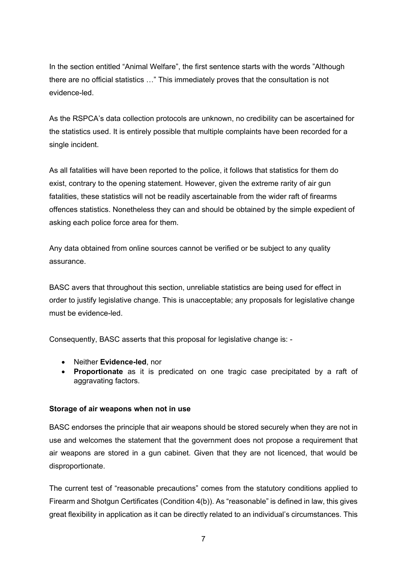In the section entitled "Animal Welfare", the first sentence starts with the words "Although there are no official statistics …" This immediately proves that the consultation is not evidence-led.

As the RSPCA's data collection protocols are unknown, no credibility can be ascertained for the statistics used. It is entirely possible that multiple complaints have been recorded for a single incident.

As all fatalities will have been reported to the police, it follows that statistics for them do exist, contrary to the opening statement. However, given the extreme rarity of air gun fatalities, these statistics will not be readily ascertainable from the wider raft of firearms offences statistics. Nonetheless they can and should be obtained by the simple expedient of asking each police force area for them.

Any data obtained from online sources cannot be verified or be subject to any quality assurance.

BASC avers that throughout this section, unreliable statistics are being used for effect in order to justify legislative change. This is unacceptable; any proposals for legislative change must be evidence-led.

Consequently, BASC asserts that this proposal for legislative change is: -

- Neither **Evidence-led**, nor
- **Proportionate** as it is predicated on one tragic case precipitated by a raft of aggravating factors.

#### **Storage of air weapons when not in use**

BASC endorses the principle that air weapons should be stored securely when they are not in use and welcomes the statement that the government does not propose a requirement that air weapons are stored in a gun cabinet. Given that they are not licenced, that would be disproportionate.

The current test of "reasonable precautions" comes from the statutory conditions applied to Firearm and Shotgun Certificates (Condition 4(b)). As "reasonable" is defined in law, this gives great flexibility in application as it can be directly related to an individual's circumstances. This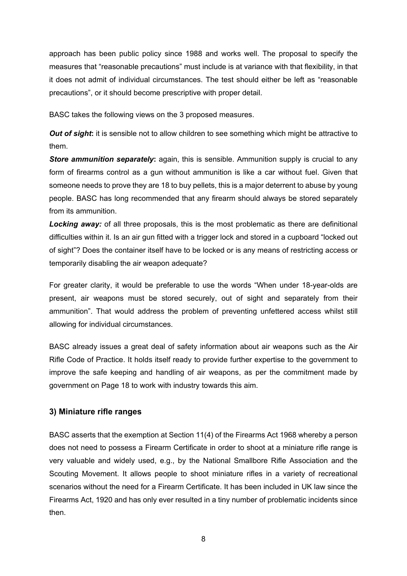approach has been public policy since 1988 and works well. The proposal to specify the measures that "reasonable precautions" must include is at variance with that flexibility, in that it does not admit of individual circumstances. The test should either be left as "reasonable precautions", or it should become prescriptive with proper detail.

BASC takes the following views on the 3 proposed measures.

**Out of sight:** it is sensible not to allow children to see something which might be attractive to them.

**Store ammunition separately:** again, this is sensible. Ammunition supply is crucial to any form of firearms control as a gun without ammunition is like a car without fuel. Given that someone needs to prove they are 18 to buy pellets, this is a major deterrent to abuse by young people. BASC has long recommended that any firearm should always be stored separately from its ammunition.

*Locking away:* of all three proposals, this is the most problematic as there are definitional difficulties within it. Is an air gun fitted with a trigger lock and stored in a cupboard "locked out of sight"? Does the container itself have to be locked or is any means of restricting access or temporarily disabling the air weapon adequate?

For greater clarity, it would be preferable to use the words "When under 18-year-olds are present, air weapons must be stored securely, out of sight and separately from their ammunition". That would address the problem of preventing unfettered access whilst still allowing for individual circumstances.

BASC already issues a great deal of safety information about air weapons such as the Air Rifle Code of Practice. It holds itself ready to provide further expertise to the government to improve the safe keeping and handling of air weapons, as per the commitment made by government on Page 18 to work with industry towards this aim.

## **3) Miniature rifle ranges**

BASC asserts that the exemption at Section 11(4) of the Firearms Act 1968 whereby a person does not need to possess a Firearm Certificate in order to shoot at a miniature rifle range is very valuable and widely used, e.g., by the National Smallbore Rifle Association and the Scouting Movement. It allows people to shoot miniature rifles in a variety of recreational scenarios without the need for a Firearm Certificate. It has been included in UK law since the Firearms Act, 1920 and has only ever resulted in a tiny number of problematic incidents since then.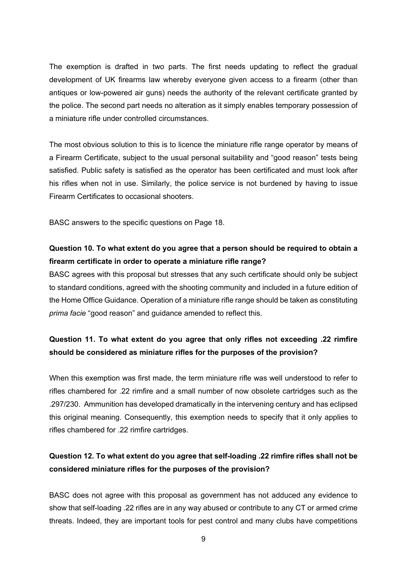The exemption is drafted in two parts. The first needs updating to reflect the gradual development of UK firearms law whereby everyone given access to a firearm (other than antiques or low-powered air guns) needs the authority of the relevant certificate granted by the police. The second part needs no alteration as it simply enables temporary possession of a miniature rifle under controlled circumstances.

The most obvious solution to this is to licence the miniature rifle range operator by means of a Firearm Certificate, subject to the usual personal suitability and "good reason" tests being satisfied. Public safety is satisfied as the operator has been certificated and must look after his rifles when not in use. Similarly, the police service is not burdened by having to issue Firearm Certificates to occasional shooters.

BASC answers to the specific questions on Page 18.

## **Question 10. To what extent do you agree that a person should be required to obtain a firearm certificate in order to operate a miniature rifle range?**

BASC agrees with this proposal but stresses that any such certificate should only be subject to standard conditions, agreed with the shooting community and included in a future edition of the Home Office Guidance. Operation of a miniature rifle range should be taken as constituting *prima facie* "good reason" and guidance amended to reflect this.

## **Question 11. To what extent do you agree that only rifles not exceeding .22 rimfire should be considered as miniature rifles for the purposes of the provision?**

When this exemption was first made, the term miniature rifle was well understood to refer to rifles chambered for .22 rimfire and a small number of now obsolete cartridges such as the .297/230. Ammunition has developed dramatically in the intervening century and has eclipsed this original meaning. Consequently, this exemption needs to specify that it only applies to rifles chambered for .22 rimfire cartridges.

## **Question 12. To what extent do you agree that self-loading .22 rimfire rifles shall not be considered miniature rifles for the purposes of the provision?**

BASC does not agree with this proposal as government has not adduced any evidence to show that self-loading .22 rifles are in any way abused or contribute to any CT or armed crime threats. Indeed, they are important tools for pest control and many clubs have competitions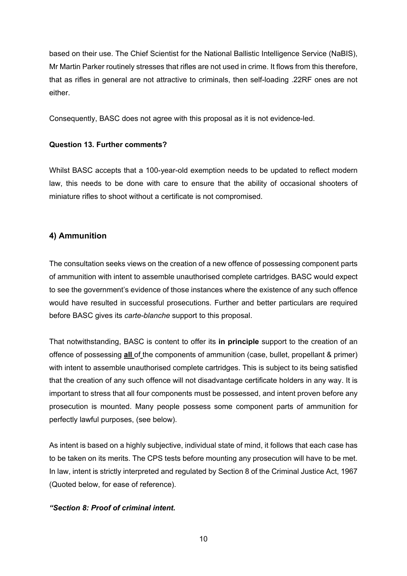based on their use. The Chief Scientist for the National Ballistic Intelligence Service (NaBIS), Mr Martin Parker routinely stresses that rifles are not used in crime. It flows from this therefore, that as rifles in general are not attractive to criminals, then self-loading .22RF ones are not either.

Consequently, BASC does not agree with this proposal as it is not evidence-led.

## **Question 13. Further comments?**

Whilst BASC accepts that a 100-year-old exemption needs to be updated to reflect modern law, this needs to be done with care to ensure that the ability of occasional shooters of miniature rifles to shoot without a certificate is not compromised.

## **4) Ammunition**

The consultation seeks views on the creation of a new offence of possessing component parts of ammunition with intent to assemble unauthorised complete cartridges. BASC would expect to see the government's evidence of those instances where the existence of any such offence would have resulted in successful prosecutions. Further and better particulars are required before BASC gives its *carte-blanche* support to this proposal.

That notwithstanding, BASC is content to offer its **in principle** support to the creation of an offence of possessing **all** of the components of ammunition (case, bullet, propellant & primer) with intent to assemble unauthorised complete cartridges. This is subject to its being satisfied that the creation of any such offence will not disadvantage certificate holders in any way. It is important to stress that all four components must be possessed, and intent proven before any prosecution is mounted. Many people possess some component parts of ammunition for perfectly lawful purposes, (see below).

As intent is based on a highly subjective, individual state of mind, it follows that each case has to be taken on its merits. The CPS tests before mounting any prosecution will have to be met. In law, intent is strictly interpreted and regulated by Section 8 of the Criminal Justice Act, 1967 (Quoted below, for ease of reference).

## *"Section 8: Proof of criminal intent.*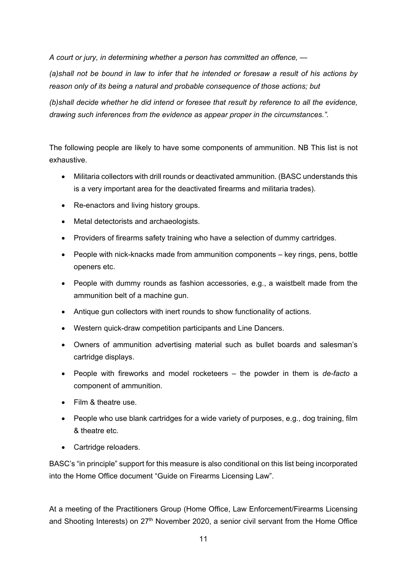*A court or jury, in determining whether a person has committed an offence, —*

*(a)shall not be bound in law to infer that he intended or foresaw a result of his actions by reason only of its being a natural and probable consequence of those actions; but*

*(b)shall decide whether he did intend or foresee that result by reference to all the evidence, drawing such inferences from the evidence as appear proper in the circumstances.".*

The following people are likely to have some components of ammunition. NB This list is not exhaustive.

- Militaria collectors with drill rounds or deactivated ammunition. (BASC understands this is a very important area for the deactivated firearms and militaria trades).
- Re-enactors and living history groups.
- Metal detectorists and archaeologists.
- Providers of firearms safety training who have a selection of dummy cartridges.
- People with nick-knacks made from ammunition components key rings, pens, bottle openers etc.
- People with dummy rounds as fashion accessories, e.g., a waistbelt made from the ammunition belt of a machine gun.
- Antique gun collectors with inert rounds to show functionality of actions.
- Western quick-draw competition participants and Line Dancers.
- Owners of ammunition advertising material such as bullet boards and salesman's cartridge displays.
- People with fireworks and model rocketeers the powder in them is *de-facto* a component of ammunition.
- Film & theatre use
- People who use blank cartridges for a wide variety of purposes, e.g., dog training, film & theatre etc.
- Cartridge reloaders.

BASC's "in principle" support for this measure is also conditional on this list being incorporated into the Home Office document "Guide on Firearms Licensing Law".

At a meeting of the Practitioners Group (Home Office, Law Enforcement/Firearms Licensing and Shooting Interests) on  $27<sup>th</sup>$  November 2020, a senior civil servant from the Home Office